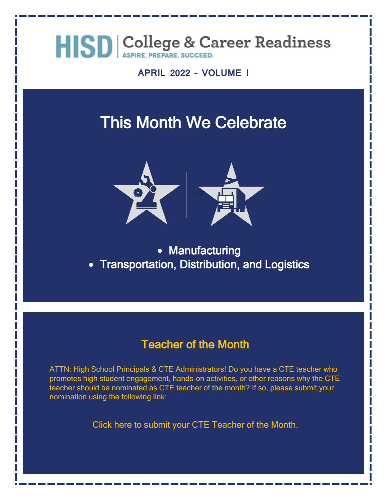

**APRIL 2022 – VOLUME I**

### This Month We Celebrate



• Manufacturing • Transportation, Distribution, and Logistics

#### Teacher of the Month

ATTN: High School Principals & CTE Administrators! Do you have a CTE teacher who promotes high student engagement, hands-on activities, or other reasons why the CTE teacher should be nominated as CTE teacher of the month? If so, please submit your nomination using the following link:

[Click here to submit your CTE Teacher of the Month.](https://forms.office.com/r/Jy6z80XCCW)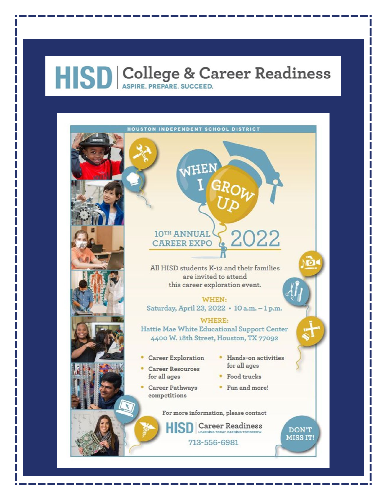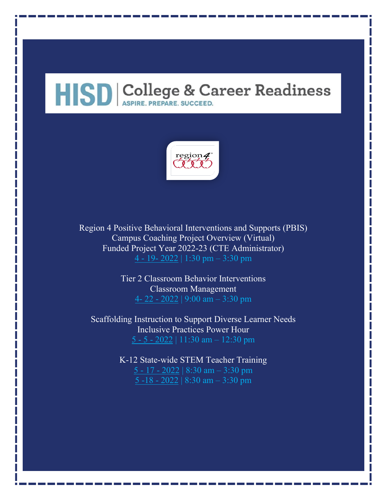

Region 4 Positive Behavioral Interventions and Supports (PBIS) Campus Coaching Project Overview (Virtual) Funded Project Year 2022-23 (CTE Administrator) 4 - 19- [2022](https://www.escweb.net/tx_esc_04/catalog/session.aspx?session_id=1664521) | 1:30 pm – 3:30 pm

> Tier 2 Classroom Behavior Interventions Classroom Management 4- 22 - [2022](https://www.escweb.net/tx_esc_04/catalog/session.aspx?session_id=1645351) | 9:00 am – 3:30 pm

Scaffolding Instruction to Support Diverse Learner Needs Inclusive Practices Power Hour 5 - 5 - [2022](https://www.escweb.net/tx_esc_04/catalog/session.aspx?session_id=1671293) | 11:30 am – 12:30 pm

> K-12 State-wide STEM Teacher Training 5 - 17 - [2022](https://www.escweb.net/tx_esc_04/catalog/session.aspx?session_id=1639966) | 8:30 am – 3:30 pm [5 -18 -](https://www.escweb.net/tx_esc_04/catalog/session.aspx?session_id=1639966) 2022 | 8:30 am – 3:30 pm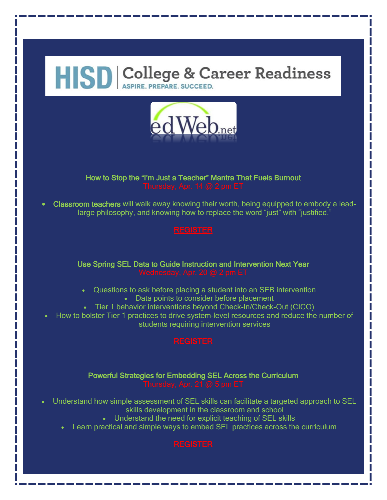

### How to Stop the "I'm Just a Teacher" Mantra That Fuels Burnout

• Classroom teachers will walk away knowing their worth, being equipped to embody a leadlarge philosophy, and knowing how to replace the word "just" with "justified."

Use Spring SEL Data to Guide Instruction and Intervention Next Year

- Questions to ask before placing a student into an SEB intervention
	- Data points to consider before placement
- Tier 1 behavior interventions beyond Check-In/Check-Out (CICO)
- How to bolster Tier 1 practices to drive system-level resources and reduce the number of students requiring intervention services

#### Powerful Strategies for Embedding SEL Across the Curriculum

- Understand how simple assessment of SEL skills can facilitate a targeted approach to SEL
	- skills development in the classroom and school
	- Understand the need for explicit teaching of SEL skills
	- Learn practical and simple ways to embed SEL practices across the curriculum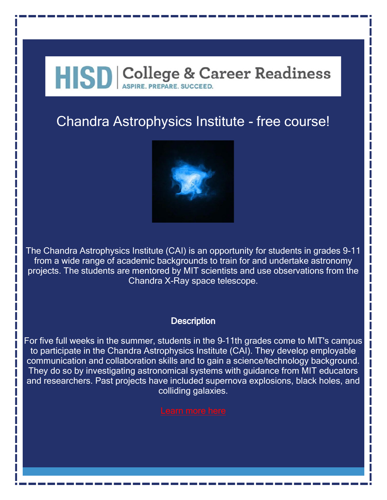### Chandra Astrophysics Institute - free course!



The Chandra Astrophysics Institute (CAI) is an opportunity for students in grades 9-11 from a wide range of academic backgrounds to train for and undertake astronomy projects. The students are mentored by MIT scientists and use observations from the Chandra X-Ray space telescope.

#### **Description**

For five full weeks in the summer, students in the 9–11th grades come to MIT's campus to participate in the Chandra Astrophysics Institute (CAI). They develop employable communication and collaboration skills and to gain a science/technology background. They do so by investigating astronomical systems with guidance from MIT educators and researchers. Past projects have included supernova explosions, black holes, and colliding galaxies.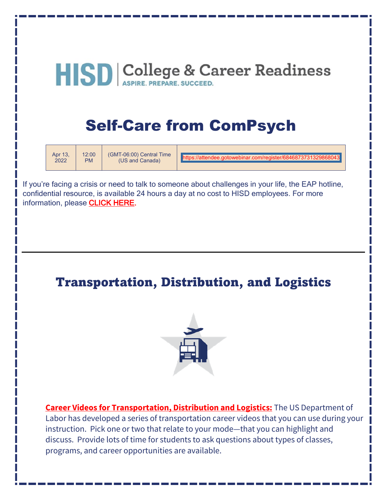### Self-Care from ComPsych

| Apr 13. | 12:00     | (GMT-06:00) Central Time | https://attendee.gotowebinar.com/register/6846873731329868043 |
|---------|-----------|--------------------------|---------------------------------------------------------------|
| 2022    | <b>PM</b> | (US and Canada)          |                                                               |

If you're facing a crisis or need to talk to someone about challenges in your life, the EAP hotline, confidential resource, is available 24 hours a day at no cost to HISD employees. For more information, please [CLICK HERE.](https://www.houstonisd.org/domain/50555)

### Transportation, Distribution, and Logistics



**[Career Videos for Transportation, Distribution and Logistics:](http://www.careerinfonet.org/videos/COS_videos_by_cluster.asp?id=27&nodeid=28&cluster=16)** The US Department of Labor has developed a series of transportation career videos that you can use during your instruction. Pick one or two that relate to your mode—that you can highlight and discuss. Provide lots of time for students to ask questions about types of classes, programs, and career opportunities are available.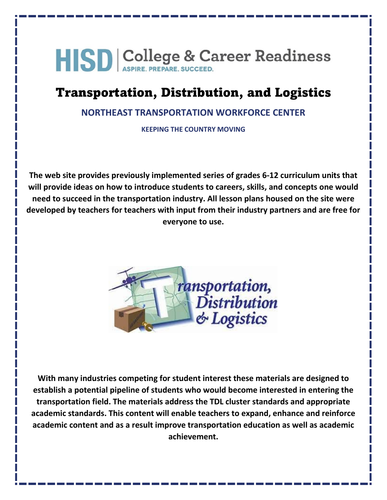### Transportation, Distribution, and Logistics

#### **[NORTHEAST TRANSPORTATION WORKFORCE CENTER](http://netwc.net/)**

**KEEPING THE COUNTRY MOVING**

**The web site provides previously implemented series of grades 6-12 curriculum units that will provide ideas on how to introduce students to careers, skills, and concepts one would need to succeed in the transportation industry. All lesson plans housed on the site were developed by teachers for teachers with input from their industry partners and are free for everyone to use.**



**With many industries competing for student interest these materials are designed to establish a potential pipeline of students who would become interested in entering the transportation field. The materials address the TDL cluster standards and appropriate academic standards. This content will enable teachers to expand, enhance and reinforce academic content and as a result improve transportation education as well as academic achievement.**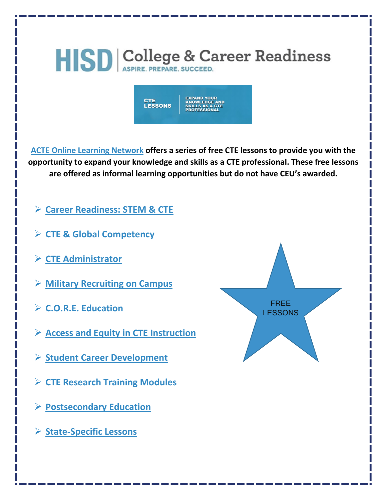

| CHE<br><b>LESSONS</b> | <b>EXPAND YOUR</b><br><b>KNOWLEDGE AND</b><br><b>SKILLS AS A CTE</b><br><b>PROFESSIONAL</b> |
|-----------------------|---------------------------------------------------------------------------------------------|
|-----------------------|---------------------------------------------------------------------------------------------|

**[ACTE Online Learning Network](https://www.ctelearn.org/cte-lessons) offers a series of free CTE lessons to provide you with the opportunity to expand your knowledge and skills as a CTE professional. These free lessons are offered as informal learning opportunities but do not have CEU's awarded.**

- **[Career Readiness: STEM & CTE](https://www.ctelearn.org/cte-lessons/career-readiness-stem-cte)**
- **[CTE & Global Competency](https://www.ctelearn.org/cte-lessons/cte-global-competency)**
- **[CTE Administrator](https://www.ctelearn.org/cte-lessons/cte-administrator)**
- **[Military Recruiting on Campus](https://www.ctelearn.org/cte-lessons/military-recruiting-on-campus)**
- **[C.O.R.E. Education](https://www.ctelearn.org/cte-lessons/core-education)**
- **[Access and Equity in CTE Instruction](https://www.ctelearn.org/cte-lessons/access-and-equity-in-cte-instruction)**
- **[Student Career Development](https://www.ctelearn.org/cte-lessons/student-career-development)**
- **[CTE Research Training Modules](https://www.ctelearn.org/cte-lessons/cte-research-training-modules)**
- **[Postsecondary Education](https://www.ctelearn.org/cte-lessons/postsecondary-education)**
- **[State-Specific Lessons](https://www.ctelearn.org/cte-lessons/state-specific-lessons)**

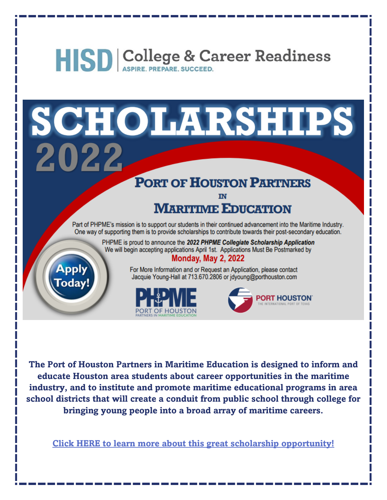SCHOLARSHIPS 2022

### **PORT OF HOUSTON PARTNERS**

### **MARITIME EDUCATION**

Part of PHPME's mission is to support our students in their continued advancement into the Maritime Industry. One way of supporting them is to provide scholarships to contribute towards their post-secondary education.

> PHPME is proud to announce the 2022 PHPME Collegiate Scholarship Application We will begin accepting applications April 1st. Applications Must Be Postmarked by **Monday, May 2, 2022**



For More Information and or Request an Application, please contact Jacquie Young-Hall at 713.670.2806 or jdyoung@porthouston.com





The Port of Houston Partners in Maritime Education is designed to inform and educate Houston area students about career opportunities in the maritime industry, and to institute and promote maritime educational programs in area school districts that will create a conduit from public school through college for bringing young people into a broad array of maritime careers.

Click HERE to learn more about this great scholarship opportunity!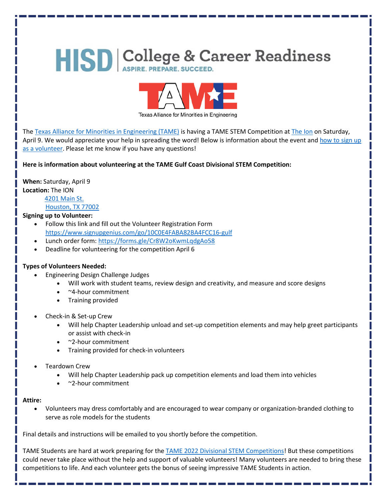

The [Texas Alliance for Minorities in Engineering \(TAME\)](http://www.tame.org/) is having a TAME STEM Competition a[t The Ion](https://www.ionhouston.com/) on Saturday, April 9. We would appreciate your help in spreading the word! Below is information about the event and how to sign up [as a volunteer.](https://www.signupgenius.com/go/10C0E4FABA82BA4FCC16-gulf) Please let me know if you have any questions!

**Here is information about volunteering at the TAME Gulf Coast Divisional STEM Competition:**

**When:** Saturday, April 9 **Location:** The ION

> [4201 Main St.](https://www.google.com/maps/place/4201+Main+St,+Houston,+TX+77002/@29.7346363,-95.3829176,17.75z/data=!4m5!3m4!1s0x8640bf708ce69b25:0xd6069851025e44d0!8m2!3d29.7343033!4d-95.3822394) [Houston, TX 77002](https://www.google.com/maps/place/4201+Main+St,+Houston,+TX+77002/@29.7346363,-95.3829176,17.75z/data=!4m5!3m4!1s0x8640bf708ce69b25:0xd6069851025e44d0!8m2!3d29.7343033!4d-95.3822394)

#### **Signing up to Volunteer:**

- Follow this link and fill out the Volunteer Registration Form <https://www.signupgenius.com/go/10C0E4FABA82BA4FCC16-gulf>
- Lunch order form[: https://forms.gle/Cr8W2oKwmLqdgAo58](https://forms.gle/Cr8W2oKwmLqdgAo58)
- Deadline for volunteering for the competition April 6

#### **Types of Volunteers Needed:**

- Engineering Design Challenge Judges
	- Will work with student teams, review design and creativity, and measure and score designs
	- ~4-hour commitment
	- Training provided
- Check-in & Set-up Crew
	- Will help Chapter Leadership unload and set-up competition elements and may help greet participants or assist with check-in
	- ~2-hour commitment
	- Training provided for check-in volunteers
- Teardown Crew
	- Will help Chapter Leadership pack up competition elements and load them into vehicles
	- ~2-hour commitment

#### **Attire:**

• Volunteers may dress comfortably and are encouraged to wear company or organization-branded clothing to serve as role models for the students

Final details and instructions will be emailed to you shortly before the competition.

TAME Students are hard at work preparing for th[e TAME 2022 Divisional STEM Competitions!](https://www.tame.org/programs/stem-competitions/) But these competitions could never take place without the help and support of valuable volunteers! Many volunteers are needed to bring these competitions to life. And each volunteer gets the bonus of seeing impressive TAME Students in action.